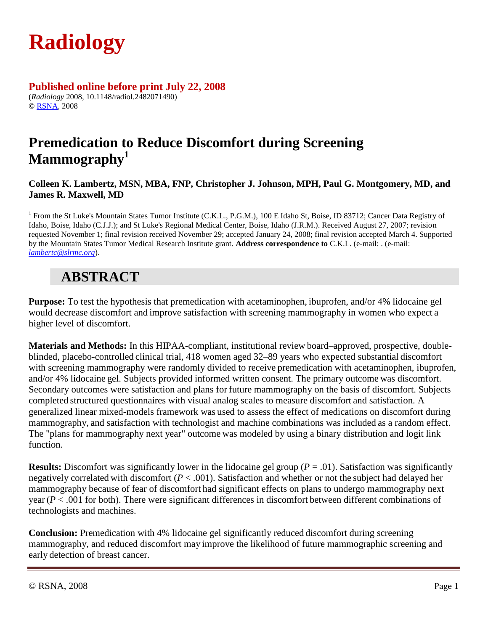

### **Published online before print July 22, 2008**

(*Radiology* 2008, 10.1148/radiol.2482071490) © [RSNA,](http://radiology.rsnajnls.org/misc/terms.shtml) 2008

## **Premedication to Reduce Discomfort during Screening Mammography<sup>1</sup>**

#### **Colleen K. Lambertz, MSN, MBA, FNP, Christopher J. Johnson, MPH, Paul G. Montgomery, MD, and James R. Maxwell, MD**

<sup>1</sup> From the St Luke's Mountain States Tumor Institute (C.K.L., P.G.M.), 100 E Idaho St, Boise, ID 83712; Cancer Data Registry of Idaho, Boise, Idaho (C.J.J.); and St Luke's Regional Medical Center, Boise, Idaho (J.R.M.). Received August 27, 2007; revision requested November 1; final revision received November 29; accepted January 24, 2008; final revision accepted March 4. Supported by the Mountain States Tumor Medical Research Institute grant. **Address correspondence to** C.K.L. (e-mail: . (e-mail: *[lambertc@slrmc.org](mailto:lambertc@slrmc.org)*).

## **ABSTRACT**

**Purpose:** To test the hypothesis that premedication with acetaminophen, ibuprofen, and/or 4% lidocaine gel would decrease discomfort and improve satisfaction with screening mammography in women who expect a higher level of discomfort.

**Materials and Methods:** In this HIPAA-compliant, institutional review board–approved, prospective, doubleblinded, placebo-controlled clinical trial, 418 women aged 32–89 years who expected substantial discomfort with screening mammography were randomly divided to receive premedication with acetaminophen, ibuprofen, and/or 4% lidocaine gel. Subjects provided informed written consent. The primary outcome was discomfort. Secondary outcomes were satisfaction and plans for future mammography on the basis of discomfort. Subjects completed structured questionnaires with visual analog scales to measure discomfort and satisfaction. A generalized linear mixed-models framework was used to assess the effect of medications on discomfort during mammography, and satisfaction with technologist and machine combinations was included as a random effect. The "plans for mammography next year" outcome was modeled by using a binary distribution and logit link function.

**Results:** Discomfort was significantly lower in the lidocaine gel group  $(P = .01)$ . Satisfaction was significantly negatively correlated with discomfort (*P* < .001). Satisfaction and whether or not the subject had delayed her mammography because of fear of discomfort had significant effects on plans to undergo mammography next year (*P* < .001 for both). There were significant differences in discomfort between different combinations of technologists and machines.

**Conclusion:** Premedication with 4% lidocaine gel significantly reduced discomfort during screening mammography, and reduced discomfort may improve the likelihood of future mammographic screening and early detection of breast cancer.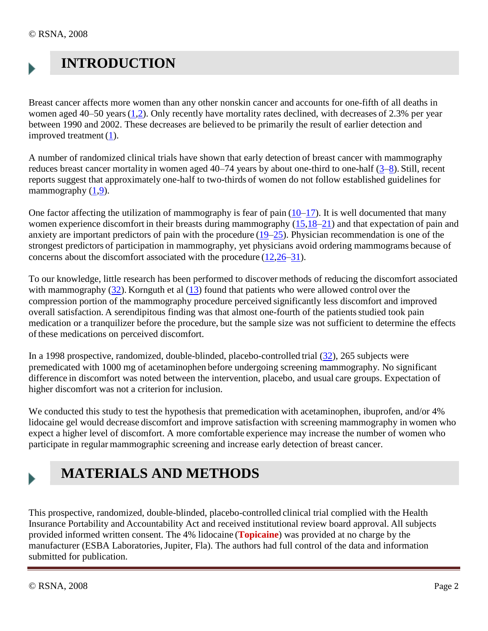## **INTRODUCTION**

Breast cancer affects more women than any other nonskin cancer and accounts for one-fifth of all deaths in women aged  $40-50$  years  $(1,2)$  $(1,2)$ . Only recently have mortality rates declined, with decreases of 2.3% per year between 1990 and 2002. These decreases are believed to be primarily the result of earlier detection and improved treatment [\(1\)](file:///C:/ESBALABS/TOPICAINE_4/CLINICAL%20STUDIES/ST%20LUKES%20MAMMOGRAPHY%20STUDY/Radiology%202482071490v1.htm%23R1).

A number of randomized clinical trials have shown that early detection of breast cancer with mammography reduces breast cancer mortality in women aged 40–74 years by about one-third to one-half [\(3](file:///C:/ESBALABS/TOPICAINE_4/CLINICAL%20STUDIES/ST%20LUKES%20MAMMOGRAPHY%20STUDY/Radiology%202482071490v1.htm%23R3)[–8\)](file:///C:/ESBALABS/TOPICAINE_4/CLINICAL%20STUDIES/ST%20LUKES%20MAMMOGRAPHY%20STUDY/Radiology%202482071490v1.htm%23R8). Still, recent reports suggest that approximately one-half to two-thirds of women do not follow established guidelines for mammography  $(1,9)$  $(1,9)$ .

One factor affecting the utilization of mammography is fear of pain  $(10-17)$  $(10-17)$ . It is well documented that many women experience discomfort in their breasts during mammography [\(15,](file:///C:/ESBALABS/TOPICAINE_4/CLINICAL%20STUDIES/ST%20LUKES%20MAMMOGRAPHY%20STUDY/Radiology%202482071490v1.htm%23R15)[18](file:///C:/ESBALABS/TOPICAINE_4/CLINICAL%20STUDIES/ST%20LUKES%20MAMMOGRAPHY%20STUDY/Radiology%202482071490v1.htm%23R18)[–21\)](file:///C:/ESBALABS/TOPICAINE_4/CLINICAL%20STUDIES/ST%20LUKES%20MAMMOGRAPHY%20STUDY/Radiology%202482071490v1.htm%23R21) and that expectation of pain and anxiety are important predictors of pain with the procedure [\(19](file:///C:/ESBALABS/TOPICAINE_4/CLINICAL%20STUDIES/ST%20LUKES%20MAMMOGRAPHY%20STUDY/Radiology%202482071490v1.htm%23R19)[–25\)](file:///C:/ESBALABS/TOPICAINE_4/CLINICAL%20STUDIES/ST%20LUKES%20MAMMOGRAPHY%20STUDY/Radiology%202482071490v1.htm%23R25). Physician recommendation is one of the strongest predictors of participation in mammography, yet physicians avoid ordering mammograms because of concerns about the discomfort associated with the procedure [\(12](file:///C:/ESBALABS/TOPICAINE_4/CLINICAL%20STUDIES/ST%20LUKES%20MAMMOGRAPHY%20STUDY/Radiology%202482071490v1.htm%23R12)[,26](file:///C:/ESBALABS/TOPICAINE_4/CLINICAL%20STUDIES/ST%20LUKES%20MAMMOGRAPHY%20STUDY/Radiology%202482071490v1.htm%23R26)[–31\)](file:///C:/ESBALABS/TOPICAINE_4/CLINICAL%20STUDIES/ST%20LUKES%20MAMMOGRAPHY%20STUDY/Radiology%202482071490v1.htm%23R31).

To our knowledge, little research has been performed to discover methods of reducing the discomfort associated with mammography [\(32\)](file:///C:/ESBALABS/TOPICAINE_4/CLINICAL%20STUDIES/ST%20LUKES%20MAMMOGRAPHY%20STUDY/Radiology%202482071490v1.htm%23R32). Kornguth et al [\(13\)](file:///C:/ESBALABS/TOPICAINE_4/CLINICAL%20STUDIES/ST%20LUKES%20MAMMOGRAPHY%20STUDY/Radiology%202482071490v1.htm%23R13) found that patients who were allowed control over the compression portion of the mammography procedure perceived significantly less discomfort and improved overall satisfaction. A serendipitous finding was that almost one-fourth of the patients studied took pain medication or a tranquilizer before the procedure, but the sample size was not sufficient to determine the effects of these medications on perceived discomfort.

In a 1998 prospective, randomized, double-blinded, placebo-controlled trial [\(32\)](file:///C:/ESBALABS/TOPICAINE_4/CLINICAL%20STUDIES/ST%20LUKES%20MAMMOGRAPHY%20STUDY/Radiology%202482071490v1.htm%23R32), 265 subjects were premedicated with 1000 mg of acetaminophen before undergoing screening mammography. No significant difference in discomfort was noted between the intervention, placebo, and usual care groups. Expectation of higher discomfort was not a criterion for inclusion.

We conducted this study to test the hypothesis that premedication with acetaminophen, ibuprofen, and/or 4% lidocaine gel would decrease discomfort and improve satisfaction with screening mammography in women who expect a higher level of discomfort. A more comfortable experience may increase the number of women who participate in regular mammographic screening and increase early detection of breast cancer.

# **MATERIALS AND METHODS**

This prospective, randomized, double-blinded, placebo-controlled clinical trial complied with the Health Insurance Portability and Accountability Act and received institutional review board approval. All subjects provided informed written consent. The 4% lidocaine (**Topicaine**) was provided at no charge by the manufacturer (ESBA Laboratories, Jupiter, Fla). The authors had full control of the data and information submitted for publication.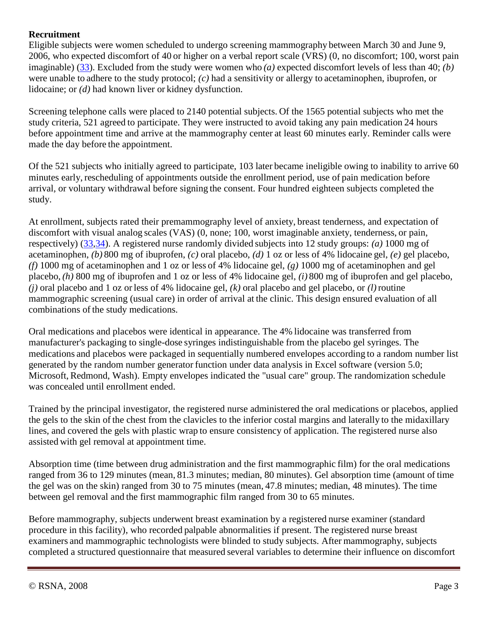#### **Recruitment**

Eligible subjects were women scheduled to undergo screening mammography between March 30 and June 9, 2006, who expected discomfort of 40 or higher on a verbal report scale (VRS) (0, no discomfort; 100, worst pain imaginable) [\(33\)](file:///C:/ESBALABS/TOPICAINE_4/CLINICAL%20STUDIES/ST%20LUKES%20MAMMOGRAPHY%20STUDY/Radiology%202482071490v1.htm%23R33). Excluded from the study were women who *(a)* expected discomfort levels of less than 40; *(b)* were unable to adhere to the study protocol; *(c)* had a sensitivity or allergy to acetaminophen, ibuprofen, or lidocaine; or *(d)* had known liver or kidney dysfunction.

Screening telephone calls were placed to 2140 potential subjects. Of the 1565 potential subjects who met the study criteria, 521 agreed to participate. They were instructed to avoid taking any pain medication 24 hours before appointment time and arrive at the mammography center at least 60 minutes early. Reminder calls were made the day before the appointment.

Of the 521 subjects who initially agreed to participate, 103 later became ineligible owing to inability to arrive 60 minutes early, rescheduling of appointments outside the enrollment period, use of pain medication before arrival, or voluntary withdrawal before signing the consent. Four hundred eighteen subjects completed the study.

At enrollment, subjects rated their premammography level of anxiety, breast tenderness, and expectation of discomfort with visual analog scales (VAS) (0, none; 100, worst imaginable anxiety, tenderness, or pain, respectively) [\(33,](file:///C:/ESBALABS/TOPICAINE_4/CLINICAL%20STUDIES/ST%20LUKES%20MAMMOGRAPHY%20STUDY/Radiology%202482071490v1.htm%23R33)[34\)](file:///C:/ESBALABS/TOPICAINE_4/CLINICAL%20STUDIES/ST%20LUKES%20MAMMOGRAPHY%20STUDY/Radiology%202482071490v1.htm%23R34). A registered nurse randomly divided subjects into 12 study groups: *(a)* 1000 mg of acetaminophen, *(b)* 800 mg of ibuprofen, *(c)* oral placebo, *(d)* 1 oz or less of 4% lidocaine gel, *(e)* gel placebo, *(f)* 1000 mg of acetaminophen and 1 oz or less of 4% lidocaine gel, *(g)* 1000 mg of acetaminophen and gel placebo, *(h)* 800 mg of ibuprofen and 1 oz or less of 4% lidocaine gel, *(i)* 800 mg of ibuprofen and gel placebo, *(j)* oral placebo and 1 oz or less of 4% lidocaine gel, *(k)* oral placebo and gel placebo, or *(l)*routine mammographic screening (usual care) in order of arrival at the clinic. This design ensured evaluation of all combinations of the study medications.

Oral medications and placebos were identical in appearance. The 4% lidocaine was transferred from manufacturer's packaging to single-dose syringes indistinguishable from the placebo gel syringes. The medications and placebos were packaged in sequentially numbered envelopes according to a random number list generated by the random number generator function under data analysis in Excel software (version 5.0; Microsoft, Redmond, Wash). Empty envelopes indicated the "usual care" group. The randomization schedule was concealed until enrollment ended.

Trained by the principal investigator, the registered nurse administered the oral medications or placebos, applied the gels to the skin of the chest from the clavicles to the inferior costal margins and laterally to the midaxillary lines, and covered the gels with plastic wrap to ensure consistency of application. The registered nurse also assisted with gel removal at appointment time.

Absorption time (time between drug administration and the first mammographic film) for the oral medications ranged from 36 to 129 minutes (mean, 81.3 minutes; median, 80 minutes). Gel absorption time (amount of time the gel was on the skin) ranged from 30 to 75 minutes (mean, 47.8 minutes; median, 48 minutes). The time between gel removal and the first mammographic film ranged from 30 to 65 minutes.

Before mammography, subjects underwent breast examination by a registered nurse examiner (standard procedure in this facility), who recorded palpable abnormalities if present. The registered nurse breast examiners and mammographic technologists were blinded to study subjects. After mammography, subjects completed a structured questionnaire that measured several variables to determine their influence on discomfort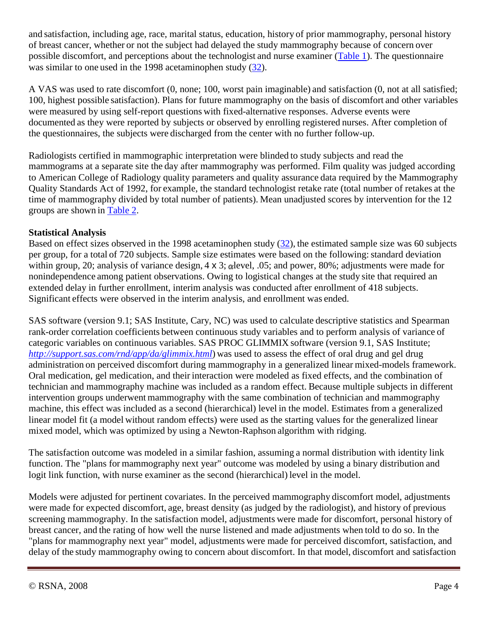and satisfaction, including age, race, marital status, education, history of prior mammography, personal history of breast cancer, whether or not the subject had delayed the study mammography because of concern over possible discomfort, and perceptions about the technologist and nurse examiner [\(Table 1\)](file:///C:/ESBALABS/TOPICAINE_4/CLINICAL%20STUDIES/ST%20LUKES%20MAMMOGRAPHY%20STUDY/Radiology%202482071490v1.htm%23T1). The questionnaire was similar to one used in the 1998 acetaminophen study [\(32\)](file:///C:/ESBALABS/TOPICAINE_4/CLINICAL%20STUDIES/ST%20LUKES%20MAMMOGRAPHY%20STUDY/Radiology%202482071490v1.htm%23R32).

A VAS was used to rate discomfort (0, none; 100, worst pain imaginable) and satisfaction (0, not at all satisfied; 100, highest possible satisfaction). Plans for future mammography on the basis of discomfort and other variables were measured by using self-report questions with fixed-alternative responses. Adverse events were documented as they were reported by subjects or observed by enrolling registered nurses. After completion of the questionnaires, the subjects were discharged from the center with no further follow-up.

Radiologists certified in mammographic interpretation were blinded to study subjects and read the mammograms at a separate site the day after mammography was performed. Film quality was judged according to American College of Radiology quality parameters and quality assurance data required by the Mammography Quality Standards Act of 1992, for example, the standard technologist retake rate (total number of retakes at the time of mammography divided by total number of patients). Mean unadjusted scores by intervention for the 12 groups are shown in [Table 2.](file:///C:/ESBALABS/TOPICAINE_4/CLINICAL%20STUDIES/ST%20LUKES%20MAMMOGRAPHY%20STUDY/Radiology%202482071490v1.htm%23T2)

#### **Statistical Analysis**

Based on effect sizes observed in the 1998 acetaminophen study [\(32\)](file:///C:/ESBALABS/TOPICAINE_4/CLINICAL%20STUDIES/ST%20LUKES%20MAMMOGRAPHY%20STUDY/Radiology%202482071490v1.htm%23R32), the estimated sample size was 60 subjects per group, for a total of 720 subjects. Sample size estimates were based on the following: standard deviation within group, 20; analysis of variance design,  $4 \times 3$ ; alevel, .05; and power, 80%; adjustments were made for nonindependence among patient observations. Owing to logistical changes at the study site that required an extended delay in further enrollment, interim analysis was conducted after enrollment of 418 subjects. Significant effects were observed in the interim analysis, and enrollment was ended.

SAS software (version 9.1; SAS Institute, Cary, NC) was used to calculate descriptive statistics and Spearman rank-order correlation coefficients between continuous study variables and to perform analysis of variance of categoric variables on continuous variables. SAS PROC GLIMMIX software (version 9.1, SAS Institute; *<http://support.sas.com/rnd/app/da/glimmix.html>*) was used to assess the effect of oral drug and gel drug administration on perceived discomfort during mammography in a generalized linear mixed-models framework. Oral medication, gel medication, and their interaction were modeled as fixed effects, and the combination of technician and mammography machine was included as a random effect. Because multiple subjects in different intervention groups underwent mammography with the same combination of technician and mammography machine, this effect was included as a second (hierarchical) level in the model. Estimates from a generalized linear model fit (a model without random effects) were used as the starting values for the generalized linear mixed model, which was optimized by using a Newton-Raphson algorithm with ridging.

The satisfaction outcome was modeled in a similar fashion, assuming a normal distribution with identity link function. The "plans for mammography next year" outcome was modeled by using a binary distribution and logit link function, with nurse examiner as the second (hierarchical) level in the model.

Models were adjusted for pertinent covariates. In the perceived mammography discomfort model, adjustments were made for expected discomfort, age, breast density (as judged by the radiologist), and history of previous screening mammography. In the satisfaction model, adjustments were made for discomfort, personal history of breast cancer, and the rating of how well the nurse listened and made adjustments when told to do so. In the "plans for mammography next year" model, adjustments were made for perceived discomfort, satisfaction, and delay of the study mammography owing to concern about discomfort. In that model, discomfort and satisfaction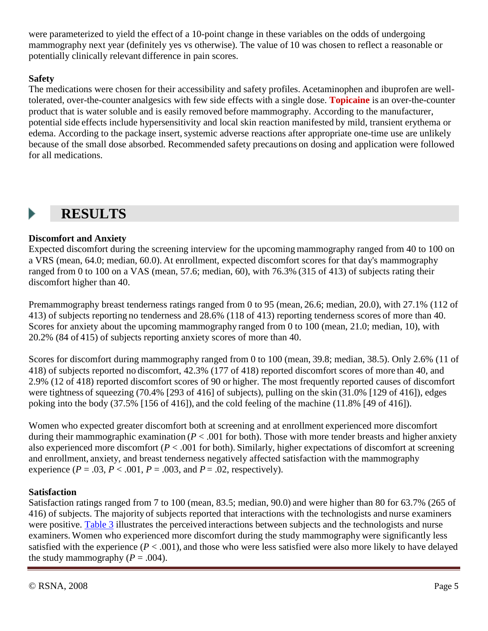were parameterized to yield the effect of a 10-point change in these variables on the odds of undergoing mammography next year (definitely yes vs otherwise). The value of 10 was chosen to reflect a reasonable or potentially clinically relevant difference in pain scores.

#### **Safety**

The medications were chosen for their accessibility and safety profiles. Acetaminophen and ibuprofen are welltolerated, over-the-counter analgesics with few side effects with a single dose. **Topicaine** is an over-the-counter product that is water soluble and is easily removed before mammography. According to the manufacturer, potential side effects include hypersensitivity and local skin reaction manifested by mild, transient erythema or edema. According to the package insert, systemic adverse reactions after appropriate one-time use are unlikely because of the small dose absorbed. Recommended safety precautions on dosing and application were followed for all medications.

#### **RESULTS**  Þ

#### **Discomfort and Anxiety**

Expected discomfort during the screening interview for the upcoming mammography ranged from 40 to 100 on a VRS (mean, 64.0; median, 60.0). At enrollment, expected discomfort scores for that day's mammography ranged from 0 to 100 on a VAS (mean, 57.6; median, 60), with 76.3% (315 of 413) of subjects rating their discomfort higher than 40.

Premammography breast tenderness ratings ranged from 0 to 95 (mean, 26.6; median, 20.0), with 27.1% (112 of 413) of subjects reporting no tenderness and 28.6% (118 of 413) reporting tenderness scores of more than 40. Scores for anxiety about the upcoming mammography ranged from 0 to 100 (mean, 21.0; median, 10), with 20.2% (84 of 415) of subjects reporting anxiety scores of more than 40.

Scores for discomfort during mammography ranged from 0 to 100 (mean, 39.8; median, 38.5). Only 2.6% (11 of 418) of subjects reported no discomfort, 42.3% (177 of 418) reported discomfort scores of more than 40, and 2.9% (12 of 418) reported discomfort scores of 90 or higher. The most frequently reported causes of discomfort were tightness of squeezing (70.4% [293 of 416] of subjects), pulling on the skin (31.0% [129 of 416]), edges poking into the body (37.5% [156 of 416]), and the cold feeling of the machine (11.8% [49 of 416]).

Women who expected greater discomfort both at screening and at enrollment experienced more discomfort during their mammographic examination (*P* < .001 for both). Those with more tender breasts and higher anxiety also experienced more discomfort  $(P < .001$  for both). Similarly, higher expectations of discomfort at screening and enrollment, anxiety, and breast tenderness negatively affected satisfaction with the mammography experience ( $P = .03$ ,  $P < .001$ ,  $P = .003$ , and  $P = .02$ , respectively).

#### **Satisfaction**

Satisfaction ratings ranged from 7 to 100 (mean, 83.5; median, 90.0) and were higher than 80 for 63.7% (265 of 416) of subjects. The majority of subjects reported that interactions with the technologists and nurse examiners were positive. [Table 3](file:///C:/ESBALABS/TOPICAINE_4/CLINICAL%20STUDIES/ST%20LUKES%20MAMMOGRAPHY%20STUDY/Radiology%202482071490v1.htm%23T3) illustrates the perceived interactions between subjects and the technologists and nurse examiners. Women who experienced more discomfort during the study mammography were significantly less satisfied with the experience  $(P < .001)$ , and those who were less satisfied were also more likely to have delayed the study mammography  $(P = .004)$ .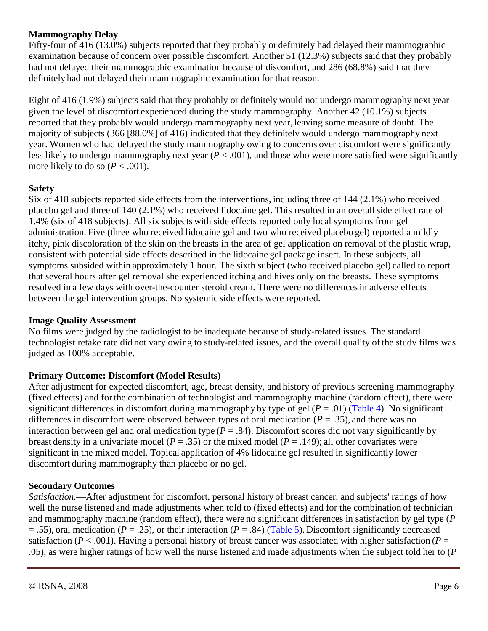#### **Mammography Delay**

Fifty-four of 416 (13.0%) subjects reported that they probably or definitely had delayed their mammographic examination because of concern over possible discomfort. Another 51 (12.3%) subjects said that they probably had not delayed their mammographic examination because of discomfort, and 286 (68.8%) said that they definitely had not delayed their mammographic examination for that reason.

Eight of 416 (1.9%) subjects said that they probably or definitely would not undergo mammography next year given the level of discomfort experienced during the study mammography. Another 42 (10.1%) subjects reported that they probably would undergo mammography next year, leaving some measure of doubt. The majority of subjects (366 [88.0%] of 416) indicated that they definitely would undergo mammography next year. Women who had delayed the study mammography owing to concerns over discomfort were significantly less likely to undergo mammography next year (*P* < .001), and those who were more satisfied were significantly more likely to do so  $(P < .001)$ .

#### **Safety**

Six of 418 subjects reported side effects from the interventions, including three of 144 (2.1%) who received placebo gel and three of 140 (2.1%) who received lidocaine gel. This resulted in an overallside effect rate of 1.4% (six of 418 subjects). All six subjects with side effects reported only local symptoms from gel administration. Five (three who received lidocaine gel and two who received placebo gel) reported a mildly itchy, pink discoloration of the skin on the breasts in the area of gel application on removal of the plastic wrap, consistent with potential side effects described in the lidocaine gel package insert. In these subjects, all symptoms subsided within approximately 1 hour. The sixth subject (who received placebo gel) called to report that several hours after gel removal she experienced itching and hives only on the breasts. These symptoms resolved in a few days with over-the-counter steroid cream. There were no differencesin adverse effects between the gel intervention groups. No systemic side effects were reported.

#### **Image Quality Assessment**

No films were judged by the radiologist to be inadequate because of study-related issues. The standard technologist retake rate did not vary owing to study-related issues, and the overall quality of the study films was judged as 100% acceptable.

#### **Primary Outcome: Discomfort (Model Results)**

After adjustment for expected discomfort, age, breast density, and history of previous screening mammography (fixed effects) and for the combination of technologist and mammography machine (random effect), there were significant differences in discomfort during mammography by type of gel  $(P = .01)$  [\(Table 4\)](file:///C:/ESBALABS/TOPICAINE_4/CLINICAL%20STUDIES/ST%20LUKES%20MAMMOGRAPHY%20STUDY/Radiology%202482071490v1.htm%23T4). No significant differences in discomfort were observed between types of oral medication (*P* = .35), and there was no interaction between gel and oral medication type  $(P = .84)$ . Discomfort scores did not vary significantly by breast density in a univariate model ( $P = .35$ ) or the mixed model ( $P = .149$ ); all other covariates were significant in the mixed model. Topical application of 4% lidocaine gel resulted in significantly lower discomfort during mammography than placebo or no gel.

#### **Secondary Outcomes**

*Satisfaction.*—After adjustment for discomfort, personal history of breast cancer, and subjects' ratings of how well the nurse listened and made adjustments when told to (fixed effects) and for the combination of technician and mammography machine (random effect), there were no significant differences in satisfaction by gel type (*P* = .55), oral medication (*P* = .25), or their interaction (*P* = .84) [\(Table 5\)](file:///C:/ESBALABS/TOPICAINE_4/CLINICAL%20STUDIES/ST%20LUKES%20MAMMOGRAPHY%20STUDY/Radiology%202482071490v1.htm%23T5). Discomfort significantly decreased satisfaction ( $P < .001$ ). Having a personal history of breast cancer was associated with higher satisfaction ( $P =$ .05), as were higher ratings of how well the nurse listened and made adjustments when the subject told her to (*P*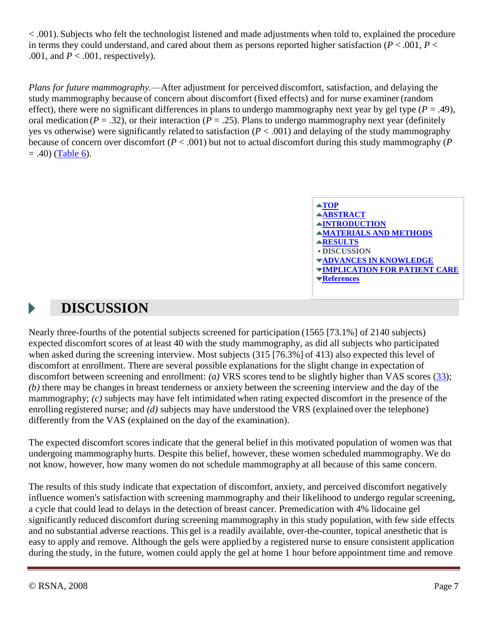< .001). Subjects who felt the technologist listened and made adjustments when told to, explained the procedure in terms they could understand, and cared about them as persons reported higher satisfaction ( $P < .001$ ,  $P <$ .001, and  $P < .001$ , respectively).

*Plans for future mammography.*—After adjustment for perceived discomfort, satisfaction, and delaying the study mammography because of concern about discomfort (fixed effects) and for nurse examiner (random effect), there were no significant differences in plans to undergo mammography next year by gel type  $(P = .49)$ , oral medication ( $P = .32$ ), or their interaction ( $P = .25$ ). Plans to undergo mammography next year (definitely yes vs otherwise) were significantly related to satisfaction (*P* < .001) and delaying of the study mammography because of concern over discomfort (*P* < .001) but not to actual discomfort during this study mammography (*P*  $= .40$ ) [\(Table 6\)](file:///C:/ESBALABS/TOPICAINE_4/CLINICAL%20STUDIES/ST%20LUKES%20MAMMOGRAPHY%20STUDY/Radiology%202482071490v1.htm%23T6).



# **DISCUSSION**

Nearly three-fourths of the potential subjects screened for participation (1565 [73.1%] of 2140 subjects) expected discomfort scores of at least 40 with the study mammography, as did all subjects who participated when asked during the screening interview. Most subjects (315 [76.3%] of 413) also expected this level of discomfort at enrollment. There are several possible explanations for the slight change in expectation of discomfort between screening and enrollment: *(a)* VRS scores tend to be slightly higher than VAS scores [\(33\)](file:///C:/ESBALABS/TOPICAINE_4/CLINICAL%20STUDIES/ST%20LUKES%20MAMMOGRAPHY%20STUDY/Radiology%202482071490v1.htm%23R33); *(b)* there may be changesin breast tenderness or anxiety between the screening interview and the day of the mammography; *(c)* subjects may have felt intimidated when rating expected discomfort in the presence of the enrolling registered nurse; and *(d)* subjects may have understood the VRS (explained over the telephone) differently from the VAS (explained on the day of the examination).

The expected discomfort scores indicate that the general belief in this motivated population of women was that undergoing mammography hurts. Despite this belief, however, these women scheduled mammography. We do not know, however, how many women do not schedule mammography at all because of this same concern.

The results of this study indicate that expectation of discomfort, anxiety, and perceived discomfort negatively influence women's satisfaction with screening mammography and their likelihood to undergo regular screening, a cycle that could lead to delays in the detection of breast cancer. Premedication with 4% lidocaine gel significantly reduced discomfort during screening mammography in this study population, with few side effects and no substantial adverse reactions. This gel is a readily available, over-the-counter, topical anesthetic that is easy to apply and remove. Although the gels were applied by a registered nurse to ensure consistent application during the study, in the future, women could apply the gel at home 1 hour before appointment time and remove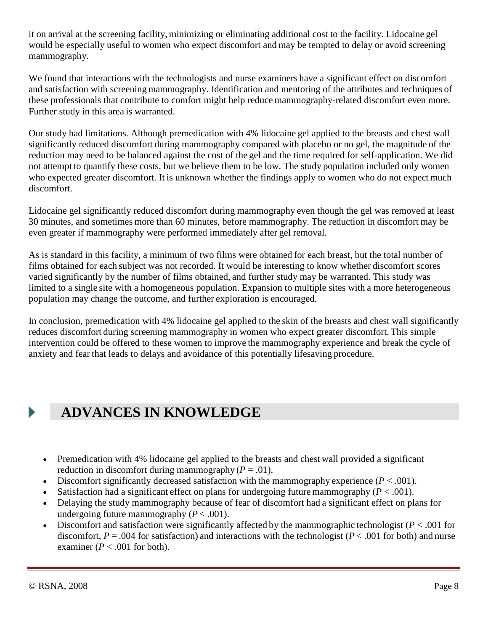it on arrival at the screening facility, minimizing or eliminating additional cost to the facility. Lidocaine gel would be especially useful to women who expect discomfort and may be tempted to delay or avoid screening mammography.

We found that interactions with the technologists and nurse examiners have a significant effect on discomfort and satisfaction with screening mammography. Identification and mentoring of the attributes and techniques of these professionals that contribute to comfort might help reduce mammography-related discomfort even more. Further study in this area is warranted.

Our study had limitations. Although premedication with 4% lidocaine gel applied to the breasts and chest wall significantly reduced discomfort during mammography compared with placebo or no gel, the magnitude of the reduction may need to be balanced against the cost of the gel and the time required for self-application. We did not attempt to quantify these costs, but we believe them to be low. The study population included only women who expected greater discomfort. It is unknown whether the findings apply to women who do not expect much discomfort.

Lidocaine gel significantly reduced discomfort during mammography even though the gel was removed at least 30 minutes, and sometimes more than 60 minutes, before mammography. The reduction in discomfort may be even greater if mammography were performed immediately after gel removal.

As is standard in this facility, a minimum of two films were obtained for each breast, but the total number of films obtained for each subject was not recorded. It would be interesting to know whether discomfort scores varied significantly by the number of films obtained, and further study may be warranted. This study was limited to a single site with a homogeneous population. Expansion to multiple sites with a more heterogeneous population may change the outcome, and further exploration is encouraged.

In conclusion, premedication with 4% lidocaine gel applied to the skin of the breasts and chest wall significantly reduces discomfort during screening mammography in women who expect greater discomfort. This simple intervention could be offered to these women to improve the mammography experience and break the cycle of anxiety and fear that leads to delays and avoidance of this potentially lifesaving procedure.

# **ADVANCES IN KNOWLEDGE**

- Premedication with 4% lidocaine gel applied to the breasts and chest wall provided a significant reduction in discomfort during mammography  $(P = .01)$ .
- Discomfort significantly decreased satisfaction with the mammography experience  $(P < .001)$ .
- Satisfaction had a significant effect on plans for undergoing future mammography  $(P < .001)$ .
- Delaying the study mammography because of fear of discomfort had a significant effect on plans for undergoing future mammography  $(P < .001)$ .
- Discomfort and satisfaction were significantly affected by the mammographic technologist (*P* < .001 for discomfort,  $P = .004$  for satisfaction) and interactions with the technologist ( $P < .001$  for both) and nurse examiner ( $P < .001$  for both).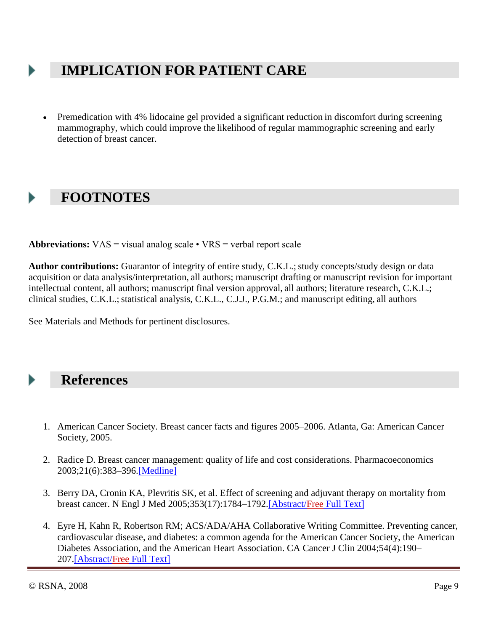### **IMPLICATION FOR PATIENT CARE**

 Premedication with 4% lidocaine gel provided a significant reduction in discomfort during screening mammography, which could improve the likelihood of regular mammographic screening and early detection of breast cancer.

### **FOOTNOTES**

**Abbreviations:** VAS = visual analog scale • VRS = verbal report scale

Author contributions: Guarantor of integrity of entire study, C.K.L.; study concepts/study design or data acquisition or data analysis/interpretation, all authors; manuscript drafting or manuscript revision for important intellectual content, all authors; manuscript final version approval, all authors; literature research, C.K.L.; clinical studies, C.K.L.; statistical analysis, C.K.L., C.J.J., P.G.M.; and manuscript editing, all authors

See Materials and Methods for pertinent disclosures.

### **References**

- 1. American Cancer Society. Breast cancer facts and figures 2005–2006. Atlanta, Ga: American Cancer Society, 2005.
- 2. Radice D. Breast cancer management: quality of life and cost considerations. Pharmacoeconomics 2003;21(6):383–396[.\[Medline\]](http://radiology.rsnajnls.org/cgi/external_ref?access_num=12678566&link_type=MED)
- 3. Berry DA, Cronin KA, Plevritis SK, et al. Effect of screening and adjuvant therapy on mortality from breast cancer. N Engl J Med 2005;353(17):1784–1792[.\[Abstract/Free](http://radiology.rsnajnls.org/cgi/ijlink?linkType=ABST&journalCode=nejm&resid=353/17/1784) Full Text]
- 4. Eyre H, Kahn R, Robertson RM; ACS/ADA/AHA Collaborative Writing Committee. Preventing cancer, cardiovascular disease, and diabetes: a common agenda for the American Cancer Society, the American Diabetes Association, and the American Heart Association. CA Cancer J Clin 2004;54(4):190– 207[.\[Abstract/Free](http://radiology.rsnajnls.org/cgi/ijlink?linkType=ABST&journalCode=canjclin&resid=54/4/190) Full Text]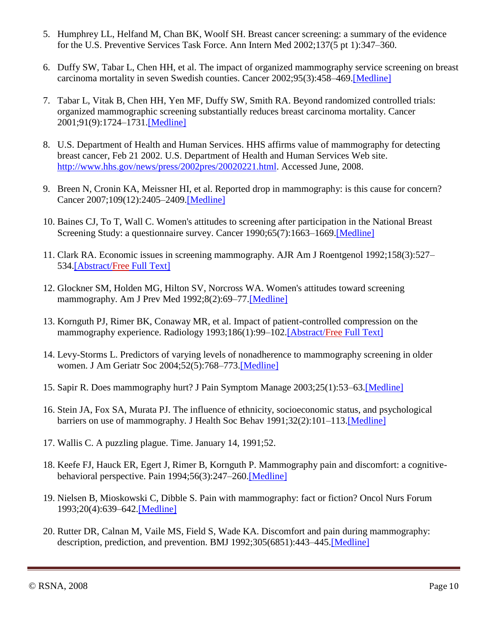- 5. Humphrey LL, Helfand M, Chan BK, Woolf SH. Breast cancer screening: a summary of the evidence for the U.S. Preventive Services Task Force. Ann Intern Med 2002;137(5 pt 1):347–360.
- 6. Duffy SW, Tabar L, Chen HH, et al. The impact of organized mammography service screening on breast carcinoma mortality in seven Swedish counties. Cancer 2002;95(3):458–469[.\[Medline\]](http://radiology.rsnajnls.org/cgi/external_ref?access_num=12209737&link_type=MED)
- 7. Tabar L, Vitak B, Chen HH, Yen MF, Duffy SW, Smith RA. Beyond randomized controlled trials: organized mammographic screening substantially reduces breast carcinoma mortality. Cancer 2001;91(9):1724–1731[.\[Medline\]](http://radiology.rsnajnls.org/cgi/external_ref?access_num=11335897&link_type=MED)
- 8. U.S. Department of Health and Human Services. HHS affirms value of mammography for detecting breast cancer, Feb 21 2002. U.S. Department of Health and Human Services Web site. [http://www.hhs.gov/news/press/2002pres/20020221.html.](http://www.hhs.gov/news/) Accessed June, 2008.
- 9. Breen N, Cronin KA, Meissner HI, et al. Reported drop in mammography: is this cause for concern? Cancer 2007;109(12):2405–2409[.\[Medline\]](http://radiology.rsnajnls.org/cgi/external_ref?access_num=17503429&link_type=MED)
- 10. Baines CJ, To T, Wall C. Women's attitudes to screening after participation in the National Breast Screening Study: a questionnaire survey. Cancer 1990;65(7):1663–1669[.\[Medline\]](http://radiology.rsnajnls.org/cgi/external_ref?access_num=2311075&link_type=MED)
- 11. Clark RA. Economic issues in screening mammography. AJR Am J Roentgenol 1992;158(3):527– 534[.\[Abstract/Free](http://radiology.rsnajnls.org/cgi/ijlink?linkType=ABST&journalCode=ajronline&resid=158/3/527) Full Text]
- 12. Glockner SM, Holden MG, Hilton SV, Norcross WA. Women's attitudes toward screening mammography. Am J Prev Med 1992;8(2):69–77[.\[Medline\]](http://radiology.rsnajnls.org/cgi/external_ref?access_num=1599723&link_type=MED)
- 13. Kornguth PJ, Rimer BK, Conaway MR, et al. Impact of patient-controlled compression on the mammography experience. Radiology 1993;186(1):99–102[.\[Abstract/Free](http://radiology.rsnajnls.org/cgi/ijlink?linkType=ABST&journalCode=radiology&resid=186/1/99) Full Text]
- 14. Levy-Storms L. Predictors of varying levels of nonadherence to mammography screening in older women. J Am Geriatr Soc 2004;52(5):768–773[.\[Medline\]](http://radiology.rsnajnls.org/cgi/external_ref?access_num=15086659&link_type=MED)
- 15. Sapir R. Does mammography hurt? J Pain Symptom Manage 2003;25(1):53–63[.\[Medline\]](http://radiology.rsnajnls.org/cgi/external_ref?access_num=12565189&link_type=MED)
- 16. Stein JA, Fox SA, Murata PJ. The influence of ethnicity, socioeconomic status, and psychological barriers on use of mammography. J Health Soc Behav 1991;32(2):101–113[.\[Medline\]](http://radiology.rsnajnls.org/cgi/external_ref?access_num=1861047&link_type=MED)
- 17. Wallis C. A puzzling plague. Time. January 14, 1991;52.
- 18. Keefe FJ, Hauck ER, Egert J, Rimer B, Kornguth P. Mammography pain and discomfort: a cognitivebehavioral perspective. Pain 1994;56(3):247–260[.\[Medline\]](http://radiology.rsnajnls.org/cgi/external_ref?access_num=8022619&link_type=MED)
- 19. Nielsen B, Mioskowski C, Dibble S. Pain with mammography: fact or fiction? Oncol Nurs Forum 1993;20(4):639–642[.\[Medline\]](http://radiology.rsnajnls.org/cgi/external_ref?access_num=8321705&link_type=MED)
- 20. Rutter DR, Calnan M, Vaile MS, Field S, Wade KA. Discomfort and pain during mammography: description, prediction, and prevention. BMJ 1992;305(6851):443–445[.\[Medline\]](http://radiology.rsnajnls.org/cgi/external_ref?access_num=1392955&link_type=MED)